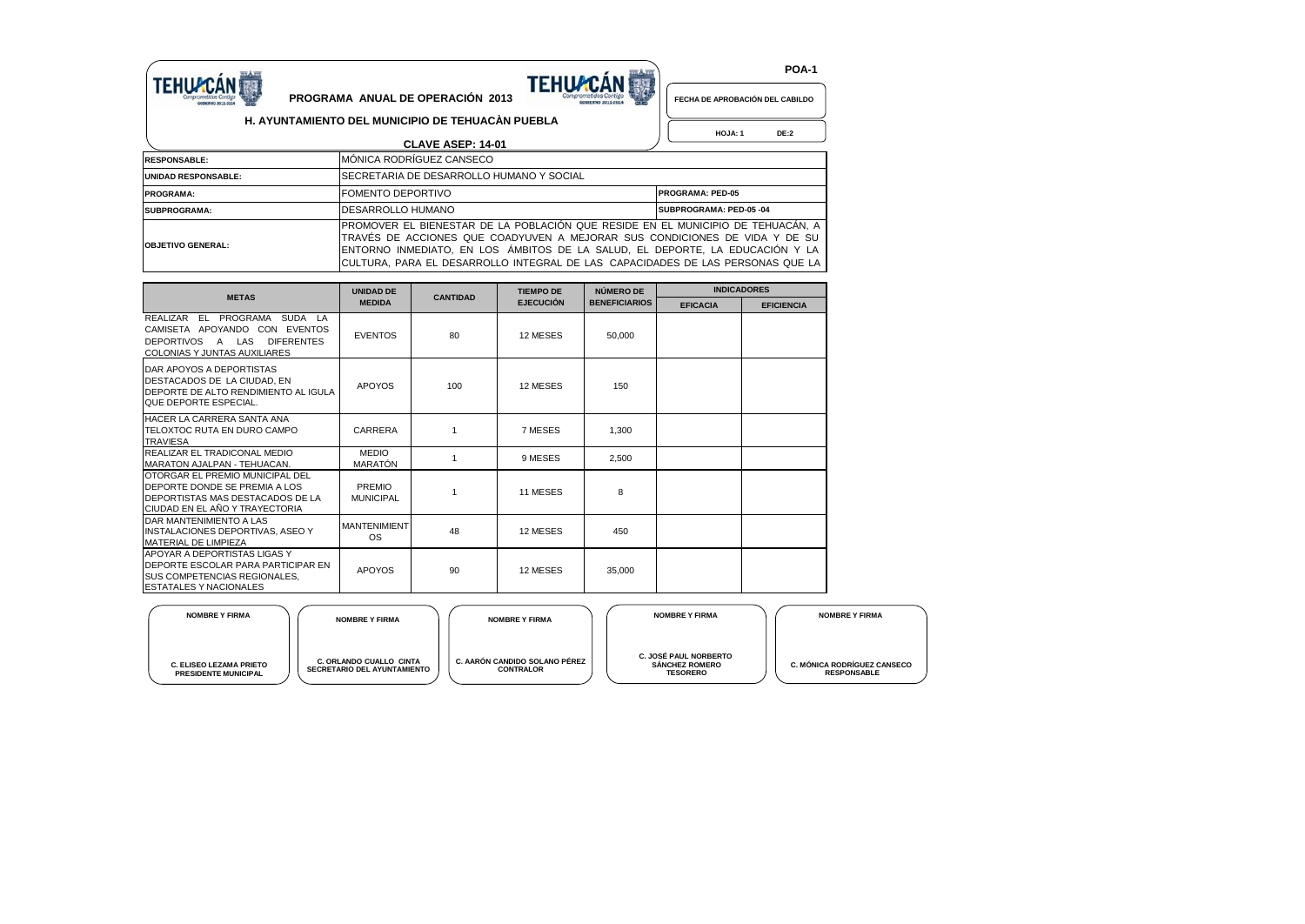

## **TEHUACÁN**

 **POA-1**

 **HOJA: 1 DE:2**

**FECHA DE APROBACIÓN DEL CABILDO**

## **PROGRAMA ANUAL DE OPERACIÓN 2013 H. AYUNTAMIENTO DEL MUNICIPIO DE TEHUACÀN PUEBLA**

|                            | <b>CLAVE ASEP: 14-01</b>                                                                                                                                                                                                                                                                                                            |                         |
|----------------------------|-------------------------------------------------------------------------------------------------------------------------------------------------------------------------------------------------------------------------------------------------------------------------------------------------------------------------------------|-------------------------|
| <b>RESPONSABLE:</b>        | MÓNICA RODRÍGUEZ CANSECO                                                                                                                                                                                                                                                                                                            |                         |
| <b>UNIDAD RESPONSABLE:</b> | SECRETARIA DE DESARROLLO HUMANO Y SOCIAL                                                                                                                                                                                                                                                                                            |                         |
| <b>PROGRAMA:</b>           | IFOMENTO DEPORTIVO                                                                                                                                                                                                                                                                                                                  | <b>PROGRAMA: PED-05</b> |
| SUBPROGRAMA:               | DESARROLLO HUMANO                                                                                                                                                                                                                                                                                                                   | SUBPROGRAMA: PED-05 -04 |
| <b>OBJETIVO GENERAL:</b>   | IPROMOVER EL BIENESTAR DE LA POBLACIÓN QUE RESIDE EN EL MUNICIPIO DE TEHUACÁN. A<br>TRAVÉS DE ACCIONES QUE COADYUVEN A MEJORAR SUS CONDICIONES DE VIDA Y DE SU<br>IENTORNO INMEDIATO. EN LOS ÁMBITOS DE LA SALUD. EL DEPORTE. LA EDUCACIÓN Y LA<br>ICULTURA. PARA EL DESARROLLO INTEGRAL DE LAS  CAPACIDADES DE LAS PERSONAS QUE LA |                         |

| <b>METAS</b>                                                                                                                                                                         | <b>UNIDAD DE</b><br><b>CANTIDAD</b> |     | <b>TIEMPO DE</b> | NÚMERO DE            | <b>INDICADORES</b> |                   |  |  |
|--------------------------------------------------------------------------------------------------------------------------------------------------------------------------------------|-------------------------------------|-----|------------------|----------------------|--------------------|-------------------|--|--|
|                                                                                                                                                                                      | <b>MEDIDA</b>                       |     | <b>EJECUCIÓN</b> | <b>BENEFICIARIOS</b> | <b>EFICACIA</b>    | <b>EFICIENCIA</b> |  |  |
| PROGRAMA<br>REALIZAR<br>EL.<br><b>SUDA</b><br>LA<br><b>EVENTOS</b><br>CAMISETA APOYANDO<br>CON<br>LAS<br><b>DIFERENTES</b><br><b>DEPORTIVOS</b><br>A<br>COLONIAS Y JUNTAS AUXILIARES | <b>EVENTOS</b>                      | 80  | 12 MESES         | 50,000               |                    |                   |  |  |
| DAR APOYOS A DEPORTISTAS<br>DESTACADOS DE LA CIUDAD, EN<br><b>IDEPORTE DE ALTO RENDIMIENTO AL IGULA</b><br><b>QUE DEPORTE ESPECIAL</b>                                               | <b>APOYOS</b>                       | 100 | 12 MESES         | 150                  |                    |                   |  |  |
| <b>HACER LA CARRERA SANTA ANA</b><br>ITELOXTOC RUTA EN DURO CAMPO<br><b>TRAVIESA</b>                                                                                                 | CARRERA                             |     | 7 MESES          | 1.300                |                    |                   |  |  |
| REALIZAR EL TRADICONAL MEDIO<br>MARATON AJALPAN - TEHUACAN.                                                                                                                          | <b>MEDIO</b><br>MARATÓN             | 1   | 9 MESES          | 2.500                |                    |                   |  |  |
| <b>OTORGAR EL PREMIO MUNICIPAL DEL</b><br>DEPORTE DONDE SE PREMIA A LOS<br><b>IDEPORTISTAS MAS DESTACADOS DE LA</b><br><b>CIUDAD EN EL AÑO Y TRAYECTORIA</b>                         | PREMIO<br><b>MUNICIPAL</b>          |     | 11 MESES         | 8                    |                    |                   |  |  |
| DAR MANTENIMIENTO A LAS<br>INSTALACIONES DEPORTIVAS, ASEO Y<br>MATERIAL DE LIMPIEZA                                                                                                  | <b>MANTENIMIENT</b><br><b>OS</b>    | 48  | 12 MESES         | 450                  |                    |                   |  |  |
| <b>APOYAR A DEPORTISTAS LIGAS Y</b><br><b>IDEPORTE ESCOLAR PARA PARTICIPAR EN</b><br><b>ISUS COMPETENCIAS REGIONALES.</b><br><b>ESTATALES Y NACIONALES</b>                           | <b>APOYOS</b>                       | 90  | 12 MESES         | 35,000               |                    |                   |  |  |

| <b>NOMBRE Y FIRMA</b>                                         | <b>NOMBRE Y FIRMA</b>                                         | <b>NOMBRE Y FIRMA</b>                             | <b>NOMBRE Y FIRMA</b>                                             | <b>NOMBRE Y FIRMA</b>                                    |
|---------------------------------------------------------------|---------------------------------------------------------------|---------------------------------------------------|-------------------------------------------------------------------|----------------------------------------------------------|
| <b>C. ELISEO LEZAMA PRIETO</b><br><b>PRESIDENTE MUNICIPAL</b> | C. ORLANDO CUALLO CINTA<br><b>SECRETARIO DEL AYUNTAMIENTO</b> | C. AARÓN CANDIDO SOLANO PÉREZ<br><b>CONTRALOR</b> | C. JOSÉ PAUL NORBERTO<br><b>SÁNCHEZ ROMERO</b><br><b>TESORERO</b> | <b>C. MÓNICA RODRÍGUEZ CANSECO</b><br><b>RESPONSABLE</b> |